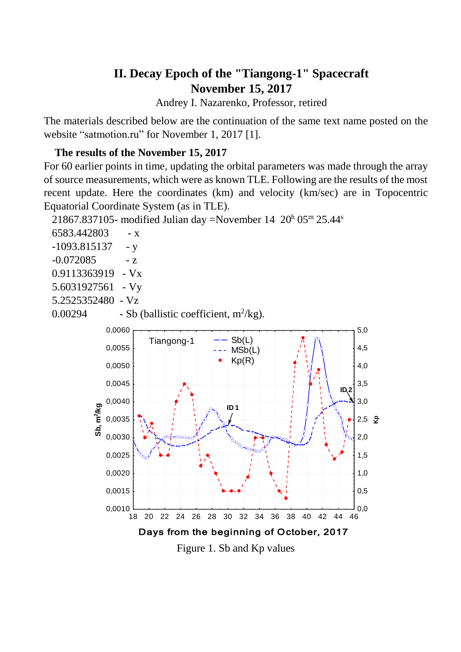# **II. Decay Epoch of the "Tiangong-1" Spacecraft November 15, 2017**

Andrey I. Nazarenko, Professor, retired

The materials described below are the continuation of the same text name posted on the website "satmotion.ru" for November 1, 2017 [1].

#### **The results of the November 15, 2017**

For 60 earlier points in time, updating the orbital parameters was made through the array of source measurements, which were as known TLE. Following are the results of the most recent update. Here the coordinates (km) and velocity (km/sec) are in Topocentric Equatorial Coordinate System (as in TLE).

21867.837105- modified Julian day =November 14  $20^{\text{h}}$  05<sup>m</sup> 25.44<sup>s</sup>

| 6583.442803<br>$- X$                                                                   |
|----------------------------------------------------------------------------------------|
| -1093.815137<br>- y                                                                    |
| $-0.072085$<br>$- Z$                                                                   |
| 0.9113363919<br>$-Vx$                                                                  |
| 5.6031927561<br>$-Vy$                                                                  |
| 5.2525352480<br>$-Vz$                                                                  |
| - Sb (ballistic coefficient, $m^2/kg$ ).<br>0.00294                                    |
| 0,0060<br>5,0                                                                          |
| Sb(L)<br>Tiangong-1<br>л<br>$\mathbf{L}$<br>0,0055<br>4,5                              |
| MSb(L)<br>Kp(R)                                                                        |
| 0,0050<br>4,0<br>л                                                                     |
| 3,5<br>0,0045<br>ID <sub>2</sub>                                                       |
| 3,0<br>0,0040                                                                          |
| Sb, m <sup>2</sup> /kg<br>ID <sub>1</sub>                                              |
| 0,0035<br>$2,5$ $\frac{6}{5}$                                                          |
| 0,0030<br>2,0<br><b>ROOK</b>                                                           |
| 0,0025<br>1,5<br>T.                                                                    |
| 0,0020<br>1,0                                                                          |
|                                                                                        |
| 0,0015<br>0,5                                                                          |
| 0,0010<br>0,0                                                                          |
| 26<br>30<br>32<br>34<br>22<br>24<br>28<br>36<br>38<br>40<br>42<br>44<br>46<br>18<br>20 |

Days from the beginning of October, 2017

Figure 1. Sb and Kp values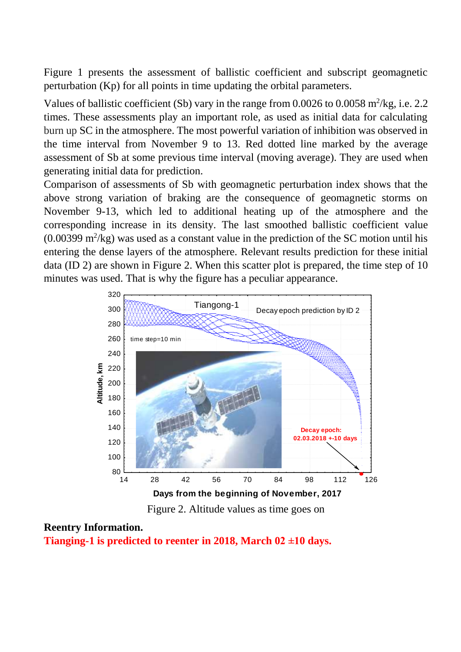Figure 1 presents the assessment of ballistic coefficient and subscript geomagnetic perturbation (Kp) for all points in time updating the orbital parameters.

Values of ballistic coefficient (Sb) vary in the range from  $0.0026$  to  $0.0058$  m<sup>2</sup>/kg, i.e. 2.2 times. These assessments play an important role, as used as initial data for calculating burn up SC in the atmosphere. The most powerful variation of inhibition was observed in the time interval from November 9 to 13. Red dotted line marked by the average assessment of Sb at some previous time interval (moving average). They are used when generating initial data for prediction.

Comparison of assessments of Sb with geomagnetic perturbation index shows that the above strong variation of braking are the consequence of geomagnetic storms on November 9-13, which led to additional heating up of the atmosphere and the corresponding increase in its density. The last smoothed ballistic coefficient value  $(0.00399 \text{ m}^2/\text{kg})$  was used as a constant value in the prediction of the SC motion until his entering the dense layers of the atmosphere. Relevant results prediction for these initial data (ID 2) are shown in Figure 2. When this scatter plot is prepared, the time step of 10 minutes was used. That is why the figure has a peculiar appearance.



Figure 2. Altitude values as time goes on

#### **Reentry Information.**

**Tianging-1 is predicted to reenter in 2018, March 02 ±10 days.**